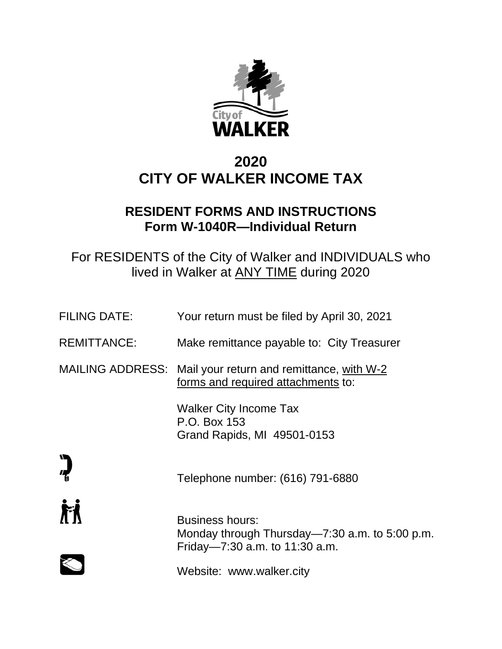

# **2020 CITY OF WALKER INCOME TAX**

# **RESIDENT FORMS AND INSTRUCTIONS Form W-1040R—Individual Return**

For RESIDENTS of the City of Walker and INDIVIDUALS who lived in Walker at ANY TIME during 2020

| <b>FILING DATE:</b> | Your return must be filed by April 30, 2021                                                                  |
|---------------------|--------------------------------------------------------------------------------------------------------------|
| <b>REMITTANCE:</b>  | Make remittance payable to: City Treasurer                                                                   |
|                     | MAILING ADDRESS: Mail your return and remittance, with W-2<br>forms and required attachments to:             |
|                     | <b>Walker City Income Tax</b><br>P.O. Box 153<br>Grand Rapids, MI 49501-0153                                 |
|                     | Telephone number: (616) 791-6880                                                                             |
|                     | <b>Business hours:</b><br>Monday through Thursday—7:30 a.m. to 5:00 p.m.<br>Friday-7:30 a.m. to $11:30$ a.m. |
|                     | Website: www.walker.city                                                                                     |
|                     |                                                                                                              |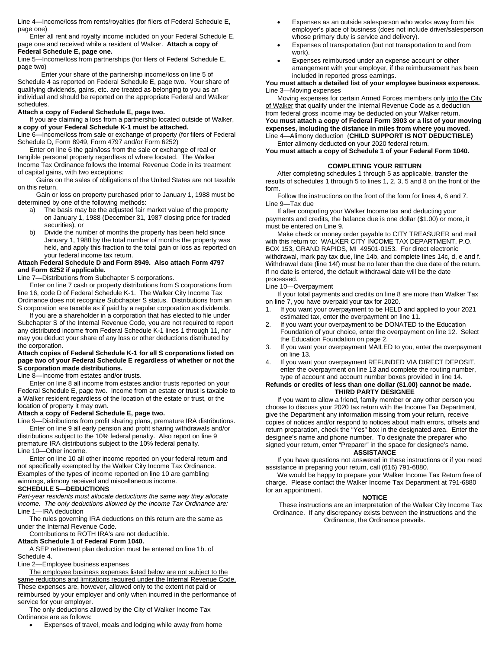Line 4—Income/loss from rents/royalties (for filers of Federal Schedule E, page one)

Enter all rent and royalty income included on your Federal Schedule E, page one and received while a resident of Walker. **Attach a copy of Federal Schedule E, page one.**

Line 5—Income/loss from partnerships (for filers of Federal Schedule E, page two)

Enter your share of the partnership income/loss on line 5 of Schedule 4 as reported on Federal Schedule E, page two. Your share of qualifying dividends, gains, etc. are treated as belonging to you as an individual and should be reported on the appropriate Federal and Walker schedules.

## **Attach a copy of Federal Schedule E, page two.**

If you are claiming a loss from a partnership located outside of Walker, **a copy of your Federal Schedule K-1 must be attached.**

Line 6—Income/loss from sale or exchange of property (for filers of Federal Schedule D, Form 8949, Form 4797 and/or Form 6252)

Enter on line 6 the gain/loss from the sale or exchange of real or tangible personal property regardless of where located. The Walker Income Tax Ordinance follows the Internal Revenue Code in its treatment of capital gains, with two exceptions:

 Gains on the sales of obligations of the United States are not taxable on this return.

 Gain or loss on property purchased prior to January 1, 1988 must be determined by one of the following methods:

- a) The basis may be the adjusted fair market value of the property on January 1, 1988 (December 31, 1987 closing price for traded securities), or
- b) Divide the number of months the property has been held since January 1, 1988 by the total number of months the property was held, and apply this fraction to the total gain or loss as reported on your federal income tax return.

#### **Attach Federal Schedule D and Form 8949. Also attach Form 4797 and Form 6252 if applicable.**

Line 7—Distributions from Subchapter S corporations.

Enter on line 7 cash or property distributions from S corporations from line 16, code D of Federal Schedule K-1. The Walker City Income Tax Ordinance does not recognize Subchapter S status. Distributions from an S corporation are taxable as if paid by a regular corporation as dividends.

If you are a shareholder in a corporation that has elected to file under Subchapter S of the Internal Revenue Code, you are not required to report any distributed income from Federal Schedule K-1 lines 1 through 11, nor may you deduct your share of any loss or other deductions distributed by the corporation.

## **Attach copies of Federal Schedule K-1 for all S corporations listed on page two of your Federal Schedule E regardless of whether or not the S corporation made distributions.**

Line 8—Income from estates and/or trusts.

Enter on line 8 all income from estates and/or trusts reported on your Federal Schedule E, page two. Income from an estate or trust is taxable to a Walker resident regardless of the location of the estate or trust, or the location of property it may own.

#### **Attach a copy of Federal Schedule E, page two.**

Line 9—Distributions from profit sharing plans, premature IRA distributions. Enter on line 9 all early pension and profit sharing withdrawals and/or distributions subject to the 10% federal penalty. Also report on line 9 premature IRA distributions subject to the 10% federal penalty. Line 10—Other income.

Enter on line 10 all other income reported on your federal return and not specifically exempted by the Walker City Income Tax Ordinance. Examples of the types of income reported on line 10 are gambling winnings, alimony received and miscellaneous income. **SCHEDULE 5—DEDUCTIONS**

*Part-year residents must allocate deductions the same way they allocate income. The only deductions allowed by the Income Tax Ordinance are:* Line 1—IRA deduction

The rules governing IRA deductions on this return are the same as under the Internal Revenue Code.

Contributions to ROTH IRA's are not deductible.

## **Attach Schedule 1 of Federal Form 1040.**

A SEP retirement plan deduction must be entered on line 1b. of Schedule 4.

Line 2—Employee business expenses

The employee business expenses listed below are not subject to the same reductions and limitations required under the Internal Revenue Code. These expenses are, however, allowed only to the extent not paid or reimbursed by your employer and only when incurred in the performance of service for your employer.

The only deductions allowed by the City of Walker Income Tax Ordinance are as follows:

• Expenses of travel, meals and lodging while away from home

- Expenses as an outside salesperson who works away from his employer's place of business (does not include driver/salesperson whose primary duty is service and delivery).
- Expenses of transportation (but not transportation to and from work).
- Expenses reimbursed under an expense account or other arrangement with your employer, if the reimbursement has been included in reported gross earnings.

### **You must attach a detailed list of your employee business expenses.** Line 3—Moving expenses

Moving expenses for certain Armed Forces members only into the City of Walker that qualify under the Internal Revenue Code as a deduction from federal gross income may be deducted on your Walker return. **You must attach a copy of Federal Form 3903 or a list of your moving expenses, including the distance in miles from where you moved.** Line 4—Alimony deduction (**CHILD SUPPORT IS NOT DEDUCTIBLE)** Enter alimony deducted on your 2020 federal return.

**You must attach a copy of Schedule 1 of your Federal Form 1040.**

#### **COMPLETING YOUR RETURN**

After completing schedules 1 through 5 as applicable, transfer the results of schedules 1 through 5 to lines 1, 2, 3, 5 and 8 on the front of the form.

Follow the instructions on the front of the form for lines 4, 6 and 7. Line 9—Tax due

If after computing your Walker Income tax and deducting your payments and credits, the balance due is one dollar (\$1.00) or more, it must be entered on Line 9.

Make check or money order payable to CITY TREASURER and mail with this return to: WALKER CITY INCOME TAX DEPARTMENT, P.O. BOX 153, GRAND RAPIDS, MI 49501-0153. For direct electronic withdrawal, mark pay tax due, line 14b, and complete lines 14c, d, e and f. Withdrawal date (line 14f) must be no later than the due date of the return. If no date is entered, the default withdrawal date will be the date processed.

#### Line 10—Overpayment

If your total payments and credits on line 8 are more than Walker Tax on line 7, you have overpaid your tax for 2020.

- 1. If you want your overpayment to be HELD and applied to your 2021 estimated tax, enter the overpayment on line 11.
- If you want your overpayment to be DONATED to the Education Foundation of your choice, enter the overpayment on line 12. Select the Education Foundation on page 2.
- 3. If you want your overpayment MAILED to you, enter the overpayment on line 13.
- 4. If you want your overpayment REFUNDED VIA DIRECT DEPOSIT, enter the overpayment on line 13 and complete the routing number, type of account and account number boxes provided in line 14.

# **Refunds or credits of less than one dollar (\$1.00) cannot be made. THIRD PARTY DESIGNEE**

If you want to allow a friend, family member or any other person you choose to discuss your 2020 tax return with the Income Tax Department, give the Department any information missing from your return, receive copies of notices and/or respond to notices about math errors, offsets and return preparation, check the "Yes" box in the designated area. Enter the designee's name and phone number. To designate the preparer who signed your return, enter "Preparer" in the space for designee's name.

# **ASSISTANCE**

If you have questions not answered in these instructions or if you need assistance in preparing your return, call (616) 791-6880.

We would be happy to prepare your Walker Income Tax Return free of charge. Please contact the Walker Income Tax Department at 791-6880 for an appointment.

#### **NOTICE**

These instructions are an interpretation of the Walker City Income Tax Ordinance. If any discrepancy exists between the instructions and the Ordinance, the Ordinance prevails.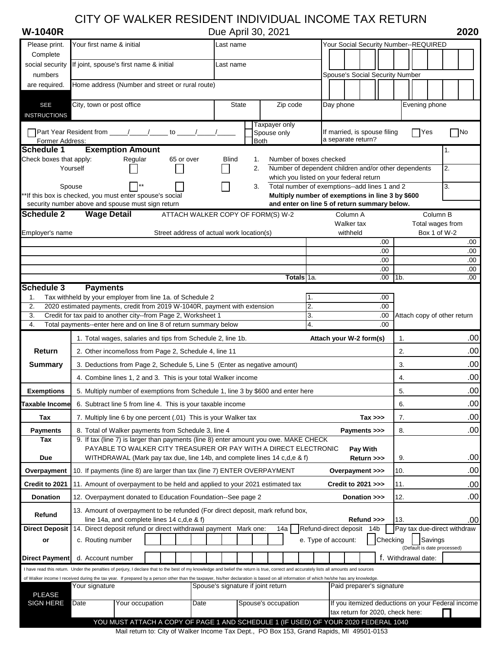# CITY OF WALKER RESIDENT INDIVIDUAL INCOME TAX RETURN

Complete

social security If joint, spouse's first name & initial Last name

**W-1040R** Due April 30, 2021 **2020**

Please print. Your first name & initial **Name Community Community** Last name Your Social Security Number--REQUIRED

| numbers                                |                                                                                                                                                                                         |  |                                           |                                                      |              |             |                                                                                                   |          |                       |           |                               | Spouse's Social Security Number  |      |                             |                                  |                                                   |
|----------------------------------------|-----------------------------------------------------------------------------------------------------------------------------------------------------------------------------------------|--|-------------------------------------------|------------------------------------------------------|--------------|-------------|---------------------------------------------------------------------------------------------------|----------|-----------------------|-----------|-------------------------------|----------------------------------|------|-----------------------------|----------------------------------|---------------------------------------------------|
| are required.                          | Home address (Number and street or rural route)                                                                                                                                         |  |                                           |                                                      |              |             |                                                                                                   |          |                       |           |                               |                                  |      |                             |                                  |                                                   |
| <b>SEE</b>                             | City, town or post office                                                                                                                                                               |  |                                           |                                                      | <b>State</b> |             | Zip code                                                                                          |          |                       | Day phone |                               |                                  |      | Evening phone               |                                  |                                                   |
| <b>INSTRUCTIONS</b>                    |                                                                                                                                                                                         |  |                                           |                                                      |              |             |                                                                                                   |          |                       |           |                               |                                  |      |                             |                                  |                                                   |
|                                        | Part Year Resident from _____/_____/_____ to _____/_____/                                                                                                                               |  |                                           |                                                      |              |             | Taxpayer only<br>Spouse only                                                                      |          |                       |           |                               | If married, is spouse filing     |      | Yes                         |                                  | No                                                |
| Former Address:                        |                                                                                                                                                                                         |  |                                           |                                                      |              | <b>Both</b> |                                                                                                   |          |                       |           | a separate return?            |                                  |      |                             |                                  |                                                   |
| Schedule 1<br>Check boxes that apply:  | <b>Exemption Amount</b><br>Regular                                                                                                                                                      |  | 65 or over                                | <b>Blind</b>                                         |              | 1.          | Number of boxes checked                                                                           |          |                       |           |                               |                                  |      |                             | 1.                               |                                                   |
|                                        | Yourself                                                                                                                                                                                |  |                                           |                                                      |              | 2.          | Number of dependent children and/or other dependents                                              |          |                       |           |                               |                                  |      |                             | 2.                               |                                                   |
|                                        |                                                                                                                                                                                         |  |                                           |                                                      |              |             | which you listed on your federal return                                                           |          |                       |           |                               |                                  |      |                             |                                  |                                                   |
|                                        | Spouse<br>**If this box is checked, you must enter spouse's social                                                                                                                      |  |                                           |                                                      |              | 3.          | Total number of exemptions--add lines 1 and 2<br>Multiply number of exemptions in line 3 by \$600 |          |                       |           |                               |                                  |      |                             | 3.                               |                                                   |
|                                        | security number above and spouse must sign return                                                                                                                                       |  |                                           |                                                      |              |             | and enter on line 5 of return summary below.                                                      |          |                       |           |                               |                                  |      |                             |                                  |                                                   |
| Schedule <sub>2</sub>                  | <b>Wage Detail</b>                                                                                                                                                                      |  | ATTACH WALKER COPY OF FORM(S) W-2         |                                                      |              |             |                                                                                                   |          |                       |           | Column A                      |                                  |      |                             | Column B                         |                                                   |
| Employer's name                        |                                                                                                                                                                                         |  | Street address of actual work location(s) |                                                      |              |             |                                                                                                   |          |                       |           | Walker tax<br>withheld        |                                  |      |                             | Total wages from<br>Box 1 of W-2 |                                                   |
|                                        |                                                                                                                                                                                         |  |                                           |                                                      |              |             |                                                                                                   |          |                       |           |                               | .00.                             |      |                             |                                  | .00                                               |
|                                        |                                                                                                                                                                                         |  |                                           |                                                      |              |             |                                                                                                   |          |                       |           |                               | .00                              |      |                             |                                  | .00                                               |
|                                        |                                                                                                                                                                                         |  |                                           |                                                      |              |             |                                                                                                   |          |                       |           |                               | .00<br>.00                       |      |                             |                                  | .00<br>.00                                        |
|                                        |                                                                                                                                                                                         |  |                                           |                                                      |              |             | Totals 1a.                                                                                        |          |                       |           |                               | .00.                             | 11b. |                             |                                  | .00                                               |
| <b>Schedule 3</b>                      | <b>Payments</b>                                                                                                                                                                         |  |                                           |                                                      |              |             |                                                                                                   |          |                       |           |                               |                                  |      |                             |                                  |                                                   |
| 1.<br>2.                               | Tax withheld by your employer from line 1a. of Schedule 2<br>2020 estimated payments, credit from 2019 W-1040R, payment with extension                                                  |  |                                           |                                                      |              |             |                                                                                                   | 1.<br>2. |                       |           |                               | .00<br>.00                       |      |                             |                                  |                                                   |
| 3.                                     | Credit for tax paid to another city--from Page 2, Worksheet 1                                                                                                                           |  |                                           |                                                      |              |             |                                                                                                   | 3.       |                       |           |                               | .00                              |      |                             |                                  | Attach copy of other return                       |
| 4.                                     | Total payments--enter here and on line 8 of return summary below                                                                                                                        |  |                                           |                                                      |              |             |                                                                                                   | 4.       |                       |           |                               | .00                              |      |                             |                                  |                                                   |
|                                        | 1. Total wages, salaries and tips from Schedule 2, line 1b.                                                                                                                             |  |                                           |                                                      |              |             |                                                                                                   |          |                       |           | Attach your W-2 form(s)       |                                  | 1.   |                             |                                  | .00                                               |
| Return                                 | 2. Other income/loss from Page 2, Schedule 4, line 11                                                                                                                                   |  |                                           |                                                      |              |             |                                                                                                   |          |                       |           |                               |                                  | 2.   |                             |                                  | .00                                               |
| <b>Summary</b>                         | 3. Deductions from Page 2, Schedule 5, Line 5 (Enter as negative amount)                                                                                                                |  |                                           |                                                      |              |             |                                                                                                   |          |                       |           |                               |                                  | 3.   |                             |                                  | .00                                               |
|                                        | 4. Combine lines 1, 2 and 3. This is your total Walker income                                                                                                                           |  |                                           |                                                      |              |             |                                                                                                   |          |                       |           |                               |                                  | 4.   |                             |                                  | .00                                               |
| <b>Exemptions</b>                      | 5. Multiply number of exemptions from Schedule 1, line 3 by \$600 and enter here                                                                                                        |  |                                           |                                                      |              |             |                                                                                                   |          |                       |           |                               |                                  | 5.   |                             |                                  | .00                                               |
| Taxable Income                         | 6. Subtract line 5 from line 4. This is your taxable income                                                                                                                             |  |                                           |                                                      |              |             |                                                                                                   |          |                       |           |                               |                                  | 6.   |                             |                                  | .00                                               |
| Tax                                    | 7. Multiply line 6 by one percent (.01) This is your Walker tax<br>$Tax \gg$                                                                                                            |  |                                           |                                                      |              |             |                                                                                                   | 7.       |                       |           | .00                           |                                  |      |                             |                                  |                                                   |
| <b>Payments</b>                        | 8. Total of Walker payments from Schedule 3, line 4<br>8.<br>Payments >>>                                                                                                               |  |                                           |                                                      |              |             |                                                                                                   |          |                       | .00       |                               |                                  |      |                             |                                  |                                                   |
| Tax                                    | 9. If tax (line 7) is larger than payments (line 8) enter amount you owe. MAKE CHECK                                                                                                    |  |                                           |                                                      |              |             |                                                                                                   |          |                       |           |                               |                                  |      |                             |                                  |                                                   |
| Due                                    | PAYABLE TO WALKER CITY TREASURER OR PAY WITH A DIRECT ELECTRONIC<br>WITHDRAWAL (Mark pay tax due, line 14b, and complete lines 14 c, d, e & f)                                          |  |                                           |                                                      |              |             |                                                                                                   |          |                       |           | <b>Pay With</b><br>Return >>> |                                  | 9.   |                             |                                  | .00                                               |
| Overpayment                            | 10. If payments (line 8) are larger than tax (line 7) ENTER OVERPAYMENT                                                                                                                 |  |                                           |                                                      |              |             |                                                                                                   |          |                       |           | Overpayment >>>               |                                  | 10.  |                             |                                  | .00                                               |
| Credit to 2021                         | 11. Amount of overpayment to be held and applied to your 2021 estimated tax                                                                                                             |  |                                           |                                                      |              |             |                                                                                                   |          |                       |           | Credit to 2021 >>>            |                                  | 11.  |                             |                                  | .00                                               |
| <b>Donation</b>                        | 12. Overpayment donated to Education Foundation--See page 2                                                                                                                             |  |                                           |                                                      |              |             |                                                                                                   |          |                       |           | Donation >>>                  |                                  | 12.  |                             |                                  | .00                                               |
|                                        | 13. Amount of overpayment to be refunded (For direct deposit, mark refund box,                                                                                                          |  |                                           |                                                      |              |             |                                                                                                   |          |                       |           |                               |                                  |      |                             |                                  |                                                   |
| Refund                                 | line 14a, and complete lines 14 c,d,e & f)                                                                                                                                              |  |                                           |                                                      |              |             |                                                                                                   |          |                       |           | Refund >>>                    |                                  | 13.  |                             |                                  | .00                                               |
| <b>Direct Deposit</b>                  | 14. Direct deposit refund or direct withdrawal payment Mark one:                                                                                                                        |  |                                           |                                                      |              |             | 14a                                                                                               |          | Refund-direct deposit |           |                               | 14 <sub>b</sub>                  |      |                             |                                  | Pay tax due-direct withdraw                       |
| or                                     | c. Routing number                                                                                                                                                                       |  |                                           |                                                      |              |             |                                                                                                   |          | e. Type of account:   |           |                               | Checking                         |      | (Default is date processed) | Savings                          |                                                   |
|                                        | d. Account number                                                                                                                                                                       |  |                                           |                                                      |              |             |                                                                                                   |          |                       |           |                               |                                  |      | f. Withdrawal date:         |                                  |                                                   |
|                                        |                                                                                                                                                                                         |  |                                           |                                                      |              |             |                                                                                                   |          |                       |           |                               |                                  |      |                             |                                  |                                                   |
|                                        | I have read this return. Under the penalties of perjury, I declare that to the best of my knowledge and belief the return is true, correct and accurately lists all amounts and sources |  |                                           |                                                      |              |             |                                                                                                   |          |                       |           |                               |                                  |      |                             |                                  |                                                   |
|                                        | of Walker income I received during the tax year. If prepared by a person other than the taxpayer, his/her declaration is based on all information of which he/she has any knowledge.    |  |                                           | Your signature<br>Spouse's signature if joint return |              |             |                                                                                                   |          |                       |           |                               |                                  |      |                             |                                  |                                                   |
| <b>Direct Payment</b><br><b>PLEASE</b> |                                                                                                                                                                                         |  |                                           |                                                      |              |             |                                                                                                   |          |                       |           | Paid preparer's signature     |                                  |      |                             |                                  |                                                   |
| <b>SIGN HERE</b>                       | Date<br>Your occupation                                                                                                                                                                 |  | Date                                      |                                                      |              |             | Spouse's occupation                                                                               |          |                       |           |                               | tax return for 2020, check here: |      |                             |                                  | If you itemized deductions on your Federal income |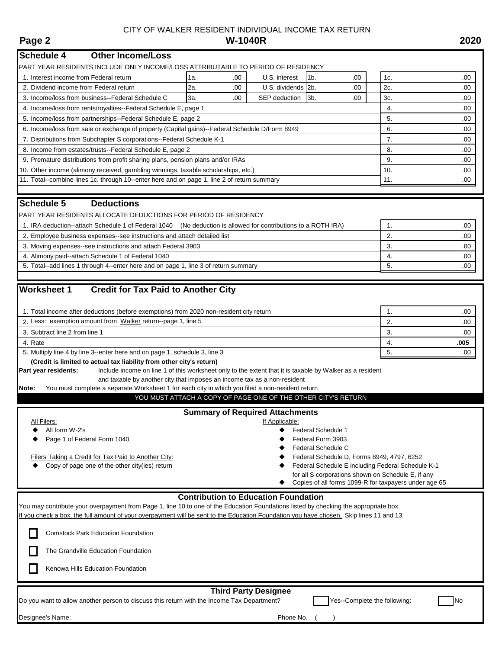# CITY OF WALKER RESIDENT INDIVIDUAL INCOME TAX RETURN<br>W-1040R **Page 2 W-1040R 2020**

| <b>Schedule 4</b><br><b>Other Income/Loss</b>                                                                                                                                                                                                                                   |                                                   |                                             |     |                                                               |  |     |      |  |  |
|---------------------------------------------------------------------------------------------------------------------------------------------------------------------------------------------------------------------------------------------------------------------------------|---------------------------------------------------|---------------------------------------------|-----|---------------------------------------------------------------|--|-----|------|--|--|
| PART YEAR RESIDENTS INCLUDE ONLY INCOME/LOSS ATTRIBUTABLE TO PERIOD OF RESIDENCY                                                                                                                                                                                                |                                                   |                                             |     |                                                               |  |     |      |  |  |
| 1. Interest income from Federal return                                                                                                                                                                                                                                          | 1a.<br>.00                                        | U.S. interest                               |     | 1 <sub>b</sub><br>.00                                         |  | 1c. | .00  |  |  |
| 2. Dividend income from Federal return                                                                                                                                                                                                                                          | 2a.<br>.00                                        | U.S. dividends 2b.                          |     | .00                                                           |  | 2c. | .00  |  |  |
| 3. Income/loss from business--Federal Schedule C                                                                                                                                                                                                                                | 3a.<br>.00<br>3b.<br>.00<br>SEP deduction         |                                             |     |                                                               |  |     |      |  |  |
| 4. Income/loss from rents/royalties--Federal Schedule E, page 1                                                                                                                                                                                                                 |                                                   | 4.                                          | .00 |                                                               |  |     |      |  |  |
| 5. Income/loss from partnerships--Federal Schedule E, page 2                                                                                                                                                                                                                    |                                                   |                                             |     |                                                               |  | 5.  | .00  |  |  |
| 6. Income/loss from sale or exchange of property (Capital gains)--Federal Schedule D/Form 8949                                                                                                                                                                                  |                                                   |                                             |     |                                                               |  | 6.  | .00  |  |  |
| 7. Distributions from Subchapter S corporations--Federal Schedule K-1                                                                                                                                                                                                           |                                                   |                                             |     |                                                               |  | 7.  | .00  |  |  |
| 8. Income from estates/trusts--Federal Schedule E, page 2                                                                                                                                                                                                                       |                                                   |                                             |     |                                                               |  | 8.  | .00  |  |  |
| 9. Premature distributions from profit sharing plans, pension plans and/or IRAs                                                                                                                                                                                                 |                                                   |                                             |     |                                                               |  | 9.  | .00  |  |  |
| 10. Other income (alimony received, gambling winnings, taxable scholarships, etc.)                                                                                                                                                                                              |                                                   |                                             |     |                                                               |  | 10. | .00  |  |  |
| 11. Total--combine lines 1c. through 10--enter here and on page 1, line 2 of return summary                                                                                                                                                                                     |                                                   |                                             |     |                                                               |  | 11. | .00  |  |  |
| <b>Schedule 5</b><br><b>Deductions</b>                                                                                                                                                                                                                                          |                                                   |                                             |     |                                                               |  |     |      |  |  |
| PART YEAR RESIDENTS ALLOCATE DEDUCTIONS FOR PERIOD OF RESIDENCY                                                                                                                                                                                                                 |                                                   |                                             |     |                                                               |  |     |      |  |  |
| 1. IRA deduction--attach Schedule 1 of Federal 1040 (No deduction is allowed for contributions to a ROTH IRA)                                                                                                                                                                   |                                                   |                                             |     |                                                               |  | 1.  | .00  |  |  |
| 2. Employee business expenses--see instructions and attach detailed list                                                                                                                                                                                                        |                                                   |                                             |     |                                                               |  | 2.  | .00  |  |  |
| 3. Moving expenses--see instructions and attach Federal 3903                                                                                                                                                                                                                    |                                                   |                                             |     |                                                               |  | 3.  | .00  |  |  |
| 4. Alimony paid--attach Schedule 1 of Federal 1040                                                                                                                                                                                                                              |                                                   |                                             |     |                                                               |  | 4.  | .00. |  |  |
| 5. Total--add lines 1 through 4--enter here and on page 1, line 3 of return summary                                                                                                                                                                                             |                                                   |                                             |     |                                                               |  | 5.  | .00. |  |  |
|                                                                                                                                                                                                                                                                                 |                                                   |                                             |     |                                                               |  |     |      |  |  |
| <b>Credit for Tax Paid to Another City</b><br><b>Worksheet 1</b>                                                                                                                                                                                                                |                                                   |                                             |     |                                                               |  |     |      |  |  |
| 1. Total income after deductions (before exemptions) from 2020 non-resident city return                                                                                                                                                                                         |                                                   |                                             |     |                                                               |  | 1.  | .00  |  |  |
| 2. Less: exemption amount from Walker return--page 1, line 5                                                                                                                                                                                                                    |                                                   |                                             |     |                                                               |  | 2.  | .00  |  |  |
| 3. Subtract line 2 from line 1                                                                                                                                                                                                                                                  |                                                   |                                             |     |                                                               |  | 3.  | .00  |  |  |
| 4. Rate                                                                                                                                                                                                                                                                         |                                                   |                                             |     |                                                               |  | 4.  | .005 |  |  |
| 5. Multiply line 4 by line 3--enter here and on page 1, schedule 3, line 3                                                                                                                                                                                                      |                                                   | 5.                                          | .00 |                                                               |  |     |      |  |  |
| (Credit is limited to actual tax liability from other city's return)                                                                                                                                                                                                            |                                                   |                                             |     |                                                               |  |     |      |  |  |
| Include income on line 1 of this worksheet only to the extent that it is taxable by Walker as a resident<br>Part year residents:                                                                                                                                                |                                                   |                                             |     |                                                               |  |     |      |  |  |
| and taxable by another city that imposes an income tax as a non-resident                                                                                                                                                                                                        |                                                   |                                             |     |                                                               |  |     |      |  |  |
| You must complete a separate Worksheet 1 for each city in which you filed a non-resident return<br>Note:                                                                                                                                                                        |                                                   |                                             |     | YOU MUST ATTACH A COPY OF PAGE ONE OF THE OTHER CITY'S RETURN |  |     |      |  |  |
|                                                                                                                                                                                                                                                                                 |                                                   |                                             |     |                                                               |  |     |      |  |  |
|                                                                                                                                                                                                                                                                                 |                                                   | <b>Summary of Required Attachments</b>      |     |                                                               |  |     |      |  |  |
| All Filers:<br>All form W-2's                                                                                                                                                                                                                                                   |                                                   | If Applicable:                              |     | Federal Schedule 1                                            |  |     |      |  |  |
| Page 1 of Federal Form 1040                                                                                                                                                                                                                                                     |                                                   |                                             |     |                                                               |  |     |      |  |  |
| Federal Form 3903<br><b>Federal Schedule C</b>                                                                                                                                                                                                                                  |                                                   |                                             |     |                                                               |  |     |      |  |  |
| Federal Schedule D, Forms 8949, 4797, 6252<br>Filers Taking a Credit for Tax Paid to Another City:                                                                                                                                                                              |                                                   |                                             |     |                                                               |  |     |      |  |  |
| Copy of page one of the other city(ies) return                                                                                                                                                                                                                                  | Federal Schedule E including Federal Schedule K-1 |                                             |     |                                                               |  |     |      |  |  |
| for all S corporations shown on Schedule E, if any<br>Copies of all forms 1099-R for taxpayers under age 65                                                                                                                                                                     |                                                   |                                             |     |                                                               |  |     |      |  |  |
|                                                                                                                                                                                                                                                                                 |                                                   |                                             |     |                                                               |  |     |      |  |  |
|                                                                                                                                                                                                                                                                                 |                                                   | <b>Contribution to Education Foundation</b> |     |                                                               |  |     |      |  |  |
| You may contribute your overpayment from Page 1, line 10 to one of the Education Foundations listed by checking the appropriate box.<br>If you check a box, the full amount of your overpayment will be sent to the Education Foundation you have chosen. Skip lines 11 and 13. |                                                   |                                             |     |                                                               |  |     |      |  |  |
| <b>Comstock Park Education Foundation</b>                                                                                                                                                                                                                                       |                                                   |                                             |     |                                                               |  |     |      |  |  |
| The Grandville Education Foundation                                                                                                                                                                                                                                             |                                                   |                                             |     |                                                               |  |     |      |  |  |
| Kenowa Hills Education Foundation                                                                                                                                                                                                                                               |                                                   |                                             |     |                                                               |  |     |      |  |  |
|                                                                                                                                                                                                                                                                                 |                                                   |                                             |     |                                                               |  |     |      |  |  |
| <b>Third Party Designee</b><br>Yes--Complete the following:<br>Do you want to allow another person to discuss this return with the Income Tax Department?<br><b>No</b>                                                                                                          |                                                   |                                             |     |                                                               |  |     |      |  |  |
| Designee's Name:                                                                                                                                                                                                                                                                |                                                   | Phone No.                                   |     |                                                               |  |     |      |  |  |
|                                                                                                                                                                                                                                                                                 |                                                   |                                             |     |                                                               |  |     |      |  |  |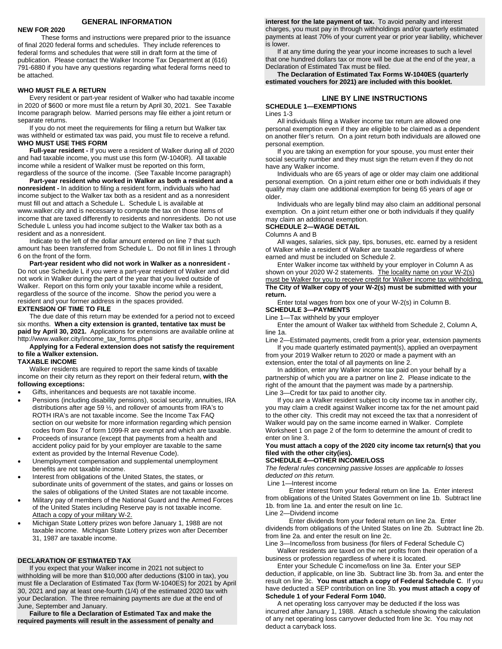# **GENERAL INFORMATION**

#### **NEW FOR 2020**

These forms and instructions were prepared prior to the issuance of final 2020 federal forms and schedules. They include references to federal forms and schedules that were still in draft form at the time of publication. Please contact the Walker Income Tax Department at (616) 791-6880 if you have any questions regarding what federal forms need to be attached.

#### **WHO MUST FILE A RETURN**

Every resident or part-year resident of Walker who had taxable income in 2020 of \$600 or more must file a return by April 30, 2021. See Taxable Income paragraph below. Married persons may file either a joint return or separate returns.

If you do not meet the requirements for filing a return but Walker tax was withheld or estimated tax was paid, you must file to receive a refund. **WHO MUST USE THIS FORM**

**Full-year resident -** If you were a resident of Walker during all of 2020 and had taxable income, you must use this form (W-1040R). All taxable income while a resident of Walker must be reported on this form, regardless of the source of the income. (See Taxable Income paragraph)

**Part-year resident who worked in Walker as both a resident and a nonresident -** In addition to filing a resident form, individuals who had income subject to the Walker tax both as a resident and as a nonresident must fill out and attach a Schedule L. Schedule L is available at www.walker.city and is necessary to compute the tax on those items of income that are taxed differently to residents and nonresidents. Do not use Schedule L unless you had income subject to the Walker tax both as a resident and as a nonresident.

Indicate to the left of the dollar amount entered on line 7 that such amount has been transferred from Schedule L. Do not fill in lines 1 through 6 on the front of the form.

**Part-year resident who did not work in Walker as a nonresident -** Do not use Schedule L if you were a part-year resident of Walker and did not work in Walker during the part of the year that you lived outside of Walker. Report on this form only your taxable income while a resident, regardless of the source of the income. Show the period you were a resident and your former address in the spaces provided.

#### **EXTENSION OF TIME TO FILE**

The due date of this return may be extended for a period not to exceed six months. **When a city extension is granted, tentative tax must be paid by April 30, 2021.** Applications for extensions are available online at http://www.walker.city/income\_tax\_forms.php#

**Applying for a Federal extension does not satisfy the requirement to file a Walker extension.**

# **TAXABLE INCOME**

Walker residents are required to report the same kinds of taxable income on their city return as they report on their federal return, **with the following exceptions:**

- Gifts, inheritances and bequests are not taxable income.
- Pensions (including disability pensions), social security, annuities, IRA distributions after age 59 ½, and rollover of amounts from IRA's to ROTH IRA's are not taxable income. See the Income Tax FAQ section on our website for more information regarding which pension codes from Box 7 of form 1099-R are exempt and which are taxable.
- Proceeds of insurance (except that payments from a health and accident policy paid for by your employer are taxable to the same extent as provided by the Internal Revenue Code).
- Unemployment compensation and supplemental unemployment benefits are not taxable income.
- Interest from obligations of the United States, the states, or subordinate units of government of the states, and gains or losses on the sales of obligations of the United States are not taxable income.
- Military pay of members of the National Guard and the Armed Forces of the United States including Reserve pay is not taxable income. Attach a copy of your military W-2.
- Michigan State Lottery prizes won before January 1, 1988 are not taxable income. Michigan State Lottery prizes won after December 31, 1987 are taxable income.

## **DECLARATION OF ESTIMATED TAX**

If you expect that your Walker income in 2021 not subject to withholding will be more than \$10,000 after deductions (\$100 in tax), you must file a Declaration of Estimated Tax (form W-1040ES) for 2021 by April 30, 2021 and pay at least one-fourth (1/4) of the estimated 2020 tax with your Declaration. The three remaining payments are due at the end of June, September and January.

**Failure to file a Declaration of Estimated Tax and make the required payments will result in the assessment of penalty and** 

**interest for the late payment of tax.** To avoid penalty and interest charges, you must pay in through withholdings and/or quarterly estimated payments at least 70% of your current year or prior year liability, whichever is lower.

If at any time during the year your income increases to such a level that one hundred dollars tax or more will be due at the end of the year, a Declaration of Estimated Tax must be filed.

**The Declaration of Estimated Tax Forms W-1040ES (quarterly estimated vouchers for 2021) are included with this booklet.**

# **LINE BY LINE INSTRUCTIONS SCHEDULE 1—EXEMPTIONS**

#### Lines 1-3

All individuals filing a Walker income tax return are allowed one personal exemption even if they are eligible to be claimed as a dependent on another filer's return. On a joint return both individuals are allowed one personal exemption.

If you are taking an exemption for your spouse, you must enter their social security number and they must sign the return even if they do not have any Walker income.

Individuals who are 65 years of age or older may claim one additional personal exemption. On a joint return either one or both individuals if they qualify may claim one additional exemption for being 65 years of age or older.

Individuals who are legally blind may also claim an additional personal exemption. On a joint return either one or both individuals if they qualify may claim an additional exemption.

#### **SCHEDULE 2—WAGE DETAIL**

Columns A and B

All wages, salaries, sick pay, tips, bonuses, etc. earned by a resident of Walker while a resident of Walker are taxable regardless of where earned and must be included on Schedule 2.

Enter Walker income tax withheld by your employer in Column A as shown on your 2020 W-2 statements. The locality name on your W-2(s) must be Walker for you to receive credit for Walker income tax withholding. **The City of Walker copy of your W-2(s) must be submitted with your return.**

Enter total wages from box one of your W-2(s) in Column B. **SCHEDULE 3—PAYMENTS**

Line 1—Tax withheld by your employer

Enter the amount of Walker tax withheld from Schedule 2, Column A, line 1a.

Line 2—Estimated payments, credit from a prior year, extension payments If you made quarterly estimated payment(s), applied an overpayment from your 2019 Walker return to 2020 or made a payment with an

extension, enter the total of all payments on line 2. In addition, enter any Walker income tax paid on your behalf by a

partnership of which you are a partner on line 2. Please indicate to the right of the amount that the payment was made by a partnership. Line 3—Credit for tax paid to another city.

If you are a Walker resident subject to city income tax in another city, you may claim a credit against Walker income tax for the net amount paid to the other city. This credit may not exceed the tax that a nonresident of Walker would pay on the same income earned in Walker. Complete Worksheet 1 on page 2 of the form to determine the amount of credit to enter on line 3.

# **You must attach a copy of the 2020 city income tax return(s) that you filed with the other city(ies).**

# **SCHEDULE 4—OTHER INCOME/LOSS**

*The federal rules concerning passive losses are applicable to losses deducted on this return.*

Line 1—Interest income

Enter interest from your federal return on line 1a. Enter interest from obligations of the United States Government on line 1b. Subtract line 1b. from line 1a. and enter the result on line 1c.

Line 2—Dividend income

Enter dividends from your federal return on line 2a. Enter dividends from obligations of the United States on line 2b. Subtract line 2b. from line 2a. and enter the result on line 2c.

Line 3—Income/loss from business (for filers of Federal Schedule C) Walker residents are taxed on the net profits from their operation of a business or profession regardless of where it is located.

Enter your Schedule C income/loss on line 3a. Enter your SEP deduction, if applicable, on line 3b. Subtract line 3b. from 3a. and enter the result on line 3c. **You must attach a copy of Federal Schedule C**. If you have deducted a SEP contribution on line 3b. **you must attach a copy of Schedule 1 of your Federal Form 1040.**

A net operating loss carryover may be deducted if the loss was incurred after January 1, 1988. Attach a schedule showing the calculation of any net operating loss carryover deducted from line 3c. You may not deduct a carryback loss.